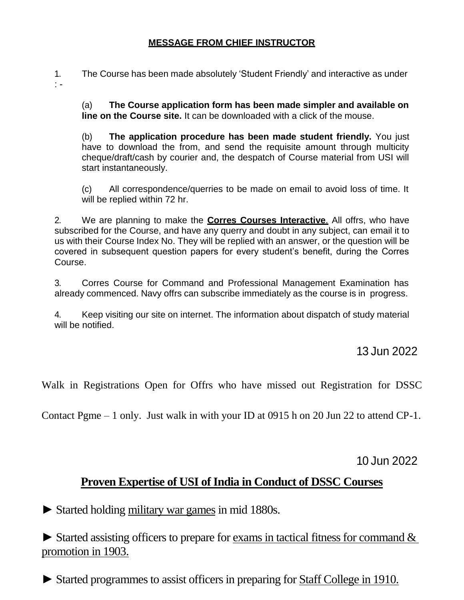### **MESSAGE FROM CHIEF INSTRUCTOR**

1. The Course has been made absolutely 'Student Friendly' and interactive as under : -

(a) **The Course application form has been made simpler and available on line on the Course site.** It can be downloaded with a click of the mouse.

(b) **The application procedure has been made student friendly.** You just have to download the from, and send the requisite amount through multicity cheque/draft/cash by courier and, the despatch of Course material from USI will start instantaneously.

(c) All correspondence/querries to be made on email to avoid loss of time. It will be replied within 72 hr.

2. We are planning to make the **Corres Courses Interactive**. All offrs, who have subscribed for the Course, and have any querry and doubt in any subject, can email it to us with their Course Index No. They will be replied with an answer, or the question will be covered in subsequent question papers for every student's benefit, during the Corres Course.

3. Corres Course for Command and Professional Management Examination has already commenced. Navy offrs can subscribe immediately as the course is in progress.

4. Keep visiting our site on internet. The information about dispatch of study material will be notified.

13 Jun 2022

Walk in Registrations Open for Offrs who have missed out Registration for DSSC

Contact Pgme – 1 only. Just walk in with your ID at 0915 h on 20 Jun 22 to attend CP-1.

10 Jun 2022

## **Proven Expertise of USI of India in Conduct of DSSC Courses**

► Started holding military war games in mid 1880s.

 $\triangleright$  Started assisting officers to prepare for exams in tactical fitness for command  $\&$ promotion in 1903.

► Started programmes to assist officers in preparing for Staff College in 1910.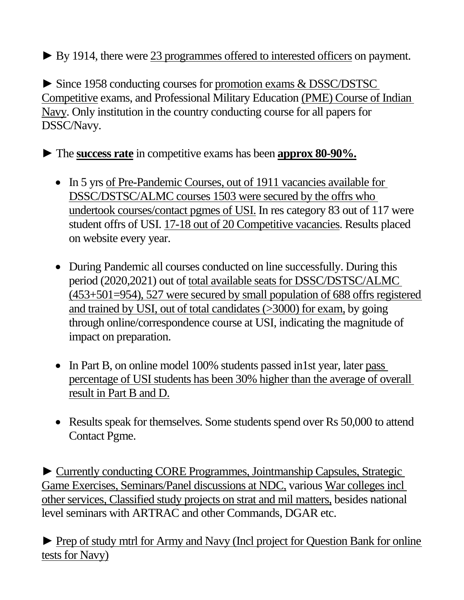► By 1914, there were 23 programmes offered to interested officers on payment.

► Since 1958 conducting courses for promotion exams & DSSC/DSTSC Competitive exams, and Professional Military Education (PME) Course of Indian Navy. Only institution in the country conducting course for all papers for DSSC/Navy.

► The **success rate** in competitive exams has been **approx 80-90%.**

- In 5 yrs of Pre-Pandemic Courses, out of 1911 vacancies available for DSSC/DSTSC/ALMC courses 1503 were secured by the offrs who undertook courses/contact pgmes of USI. In res category 83 out of 117 were student offrs of USI. 17-18 out of 20 Competitive vacancies. Results placed on website every year.
- During Pandemic all courses conducted on line successfully. During this period (2020,2021) out of total available seats for DSSC/DSTSC/ALMC (453+501=954), 527 were secured by small population of 688 offrs registered and trained by USI, out of total candidates (>3000) for exam, by going through online/correspondence course at USI, indicating the magnitude of impact on preparation.
- In Part B, on online model 100% students passed in 1st year, later pass percentage of USI students has been 30% higher than the average of overall result in Part B and D.
- Results speak for themselves. Some students spend over Rs 50,000 to attend Contact Pgme.

► Currently conducting CORE Programmes, Jointmanship Capsules, Strategic Game Exercises, Seminars/Panel discussions at NDC, various War colleges incl other services, Classified study projects on strat and mil matters, besides national level seminars with ARTRAC and other Commands, DGAR etc.

► Prep of study mtrl for Army and Navy (Incl project for Question Bank for online tests for Navy)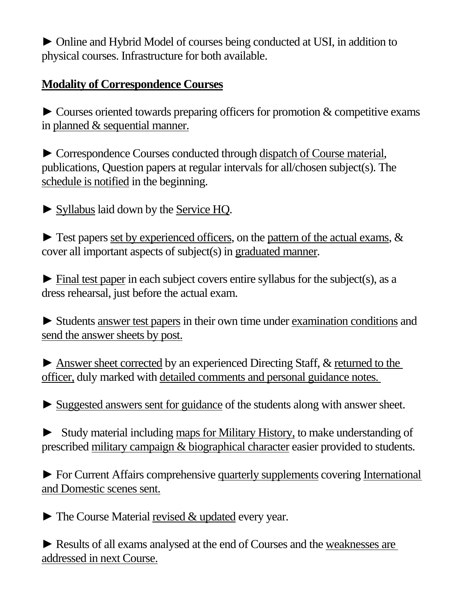► Online and Hybrid Model of courses being conducted at USI, in addition to physical courses. Infrastructure for both available.

## **Modality of Correspondence Courses**

 $\triangleright$  Courses oriented towards preparing officers for promotion  $\&$  competitive exams in planned & sequential manner.

► Correspondence Courses conducted through dispatch of Course material, publications, Question papers at regular intervals for all/chosen subject(s). The schedule is notified in the beginning.

► Syllabus laid down by the Service HQ.

 $\triangleright$  Test papers set by experienced officers, on the pattern of the actual exams,  $\&$ cover all important aspects of subject(s) in graduated manner.

 $\blacktriangleright$  Final test paper in each subject covers entire syllabus for the subject(s), as a dress rehearsal, just before the actual exam.

► Students answer test papers in their own time under examination conditions and send the answer sheets by post.

► Answer sheet corrected by an experienced Directing Staff, & returned to the officer, duly marked with detailed comments and personal guidance notes.

► Suggested answers sent for guidance of the students along with answer sheet.

► Study material including maps for Military History, to make understanding of prescribed military campaign & biographical character easier provided to students.

► For Current Affairs comprehensive quarterly supplements covering International and Domestic scenes sent.

► The Course Material revised & updated every year.

► Results of all exams analysed at the end of Courses and the weaknesses are addressed in next Course.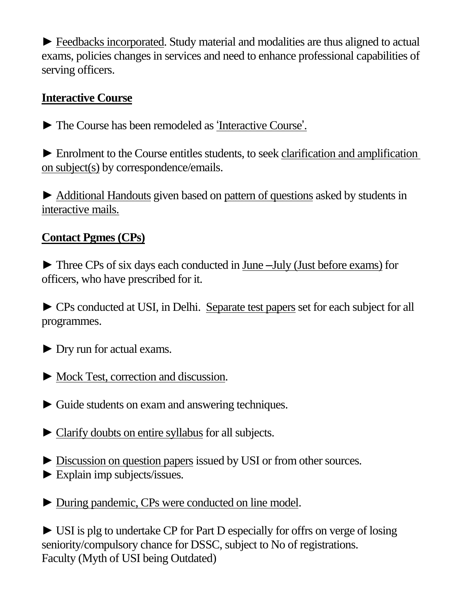► Feedbacks incorporated. Study material and modalities are thus aligned to actual exams, policies changes in services and need to enhance professional capabilities of serving officers.

## **Interactive Course**

► The Course has been remodeled as 'Interactive Course'.

► Enrolment to the Course entitles students, to seek clarification and amplification on subject(s) by correspondence/emails.

► Additional Handouts given based on pattern of questions asked by students in interactive mails.

## **Contact Pgmes (CPs)**

► Three CPs of six days each conducted in June –July (Just before exams) for officers, who have prescribed for it.

► CPs conducted at USI, in Delhi. Separate test papers set for each subject for all programmes.

► Dry run for actual exams.

- ► Mock Test, correction and discussion.
- ► Guide students on exam and answering techniques.
- ► Clarify doubts on entire syllabus for all subjects.
- ► Discussion on question papers issued by USI or from other sources. ► Explain imp subjects/issues.
- ► During pandemic, CPs were conducted on line model.

► USI is plg to undertake CP for Part D especially for offrs on verge of losing seniority/compulsory chance for DSSC, subject to No of registrations. Faculty (Myth of USI being Outdated)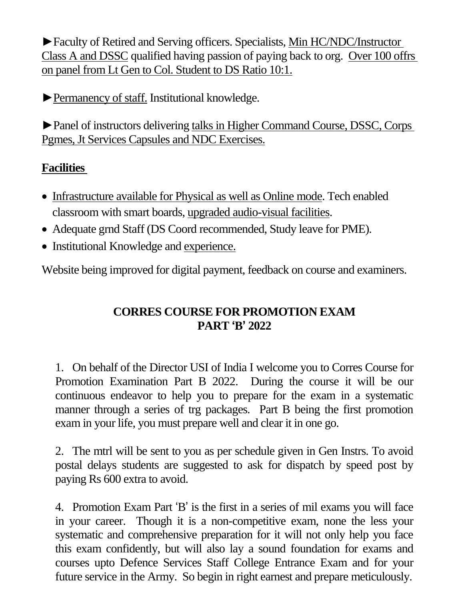►Faculty of Retired and Serving officers. Specialists, Min HC/NDC/Instructor Class A and DSSC qualified having passion of paying back to org. Over 100 offrs on panel from Lt Gen to Col. Student to DS Ratio 10:1.

►Permanency of staff. Institutional knowledge.

►Panel of instructors delivering talks in Higher Command Course, DSSC, Corps Pgmes, Jt Services Capsules and NDC Exercises.

## **Facilities**

- Infrastructure available for Physical as well as Online mode. Tech enabled classroom with smart boards, upgraded audio-visual facilities.
- Adequate grnd Staff (DS Coord recommended, Study leave for PME).
- Institutional Knowledge and experience.

Website being improved for digital payment, feedback on course and examiners.

## **CORRES COURSE FOR PROMOTION EXAM PART 'B' 2022**

1. On behalf of the Director USI of India I welcome you to Corres Course for Promotion Examination Part B 2022. During the course it will be our continuous endeavor to help you to prepare for the exam in a systematic manner through a series of trg packages. Part B being the first promotion exam in your life, you must prepare well and clear it in one go.

2. The mtrl will be sent to you as per schedule given in Gen Instrs. To avoid postal delays students are suggested to ask for dispatch by speed post by paying Rs 600 extra to avoid.

4. Promotion Exam Part 'B' is the first in a series of mil exams you will face in your career. Though it is a non-competitive exam, none the less your systematic and comprehensive preparation for it will not only help you face this exam confidently, but will also lay a sound foundation for exams and courses upto Defence Services Staff College Entrance Exam and for your future service in the Army. So begin in right earnest and prepare meticulously.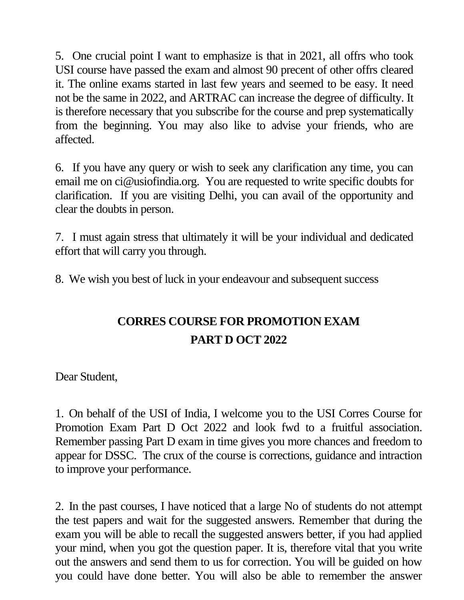5. One crucial point I want to emphasize is that in 2021, all offrs who took USI course have passed the exam and almost 90 precent of other offrs cleared it. The online exams started in last few years and seemed to be easy. It need not be the same in 2022, and ARTRAC can increase the degree of difficulty. It is therefore necessary that you subscribe for the course and prep systematically from the beginning. You may also like to advise your friends, who are affected.

6. If you have any query or wish to seek any clarification any time, you can email me on ci@usiofindia.org. You are requested to write specific doubts for clarification. If you are visiting Delhi, you can avail of the opportunity and clear the doubts in person.

7. I must again stress that ultimately it will be your individual and dedicated effort that will carry you through.

8. We wish you best of luck in your endeavour and subsequent success

# **CORRES COURSE FOR PROMOTION EXAM PART D OCT 2022**

Dear Student,

1. On behalf of the USI of India, I welcome you to the USI Corres Course for Promotion Exam Part D Oct 2022 and look fwd to a fruitful association. Remember passing Part D exam in time gives you more chances and freedom to appear for DSSC. The crux of the course is corrections, guidance and intraction to improve your performance.

2. In the past courses, I have noticed that a large No of students do not attempt the test papers and wait for the suggested answers. Remember that during the exam you will be able to recall the suggested answers better, if you had applied your mind, when you got the question paper. It is, therefore vital that you write out the answers and send them to us for correction. You will be guided on how you could have done better. You will also be able to remember the answer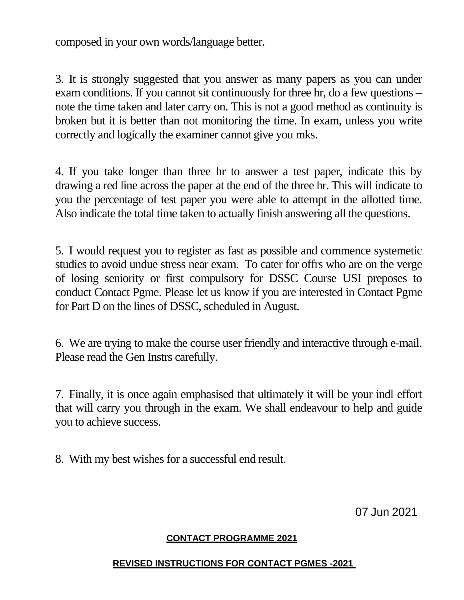composed in your own words/language better.

3. It is strongly suggested that you answer as many papers as you can under exam conditions. If you cannot sit continuously for three hr, do a few questions – note the time taken and later carry on. This is not a good method as continuity is broken but it is better than not monitoring the time. In exam, unless you write correctly and logically the examiner cannot give you mks.

4. If you take longer than three hr to answer a test paper, indicate this by drawing a red line across the paper at the end of the three hr. This will indicate to you the percentage of test paper you were able to attempt in the allotted time. Also indicate the total time taken to actually finish answering all the questions.

5. I would request you to register as fast as possible and commence systemetic studies to avoid undue stress near exam. To cater for offrs who are on the verge of losing seniority or first compulsory for DSSC Course USI preposes to conduct Contact Pgme. Please let us know if you are interested in Contact Pgme for Part D on the lines of DSSC, scheduled in August.

6. We are trying to make the course user friendly and interactive through e-mail. Please read the Gen Instrs carefully.

7. Finally, it is once again emphasised that ultimately it will be your indl effort that will carry you through in the exam. We shall endeavour to help and guide you to achieve success.

8. With my best wishes for a successful end result.

07 Jun 2021

### **CONTACT PROGRAMME 2021**

### **REVISED INSTRUCTIONS FOR CONTACT PGMES -2021**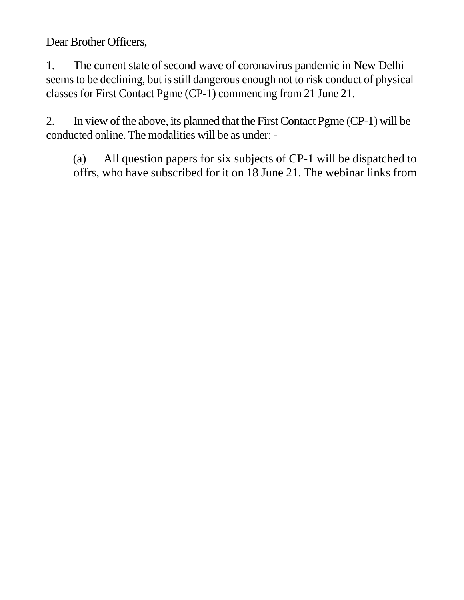Dear Brother Officers,

1. The current state of second wave of coronavirus pandemic in New Delhi seems to be declining, but is still dangerous enough not to risk conduct of physical classes for First Contact Pgme (CP-1) commencing from 21 June 21.

2. In view of the above, its planned that the First Contact Pgme (CP-1) will be conducted online. The modalities will be as under: -

(a) All question papers for six subjects of CP-1 will be dispatched to offrs, who have subscribed for it on 18 June 21. The webinar links from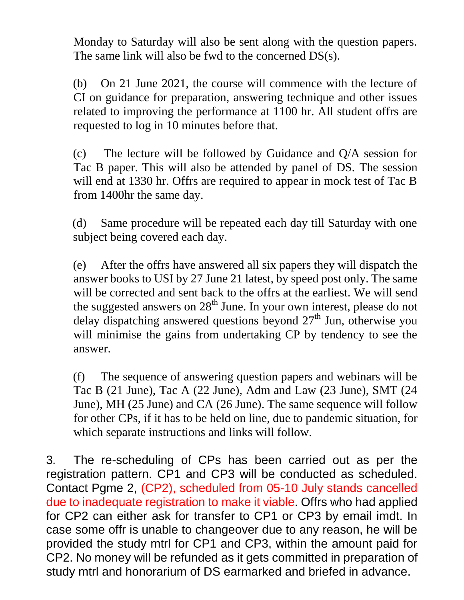Monday to Saturday will also be sent along with the question papers. The same link will also be fwd to the concerned DS(s).

(b) On 21 June 2021, the course will commence with the lecture of CI on guidance for preparation, answering technique and other issues related to improving the performance at 1100 hr. All student offrs are requested to log in 10 minutes before that.

(c) The lecture will be followed by Guidance and Q/A session for Tac B paper. This will also be attended by panel of DS. The session will end at 1330 hr. Offrs are required to appear in mock test of Tac B from 1400hr the same day.

(d) Same procedure will be repeated each day till Saturday with one subject being covered each day.

(e) After the offrs have answered all six papers they will dispatch the answer books to USI by 27 June 21 latest, by speed post only. The same will be corrected and sent back to the offrs at the earliest. We will send the suggested answers on  $28<sup>th</sup>$  June. In your own interest, please do not delay dispatching answered questions beyond  $27<sup>th</sup>$  Jun, otherwise you will minimise the gains from undertaking CP by tendency to see the answer.

(f) The sequence of answering question papers and webinars will be Tac B (21 June), Tac A (22 June), Adm and Law (23 June), SMT (24 June), MH (25 June) and CA (26 June). The same sequence will follow for other CPs, if it has to be held on line, due to pandemic situation, for which separate instructions and links will follow.

3. The re-scheduling of CPs has been carried out as per the registration pattern. CP1 and CP3 will be conducted as scheduled. Contact Pgme 2, (CP2), scheduled from 05-10 July stands cancelled due to inadequate registration to make it viable. Offrs who had applied for CP2 can either ask for transfer to CP1 or CP3 by email imdt. In case some offr is unable to changeover due to any reason, he will be provided the study mtrl for CP1 and CP3, within the amount paid for CP2. No money will be refunded as it gets committed in preparation of study mtrl and honorarium of DS earmarked and briefed in advance.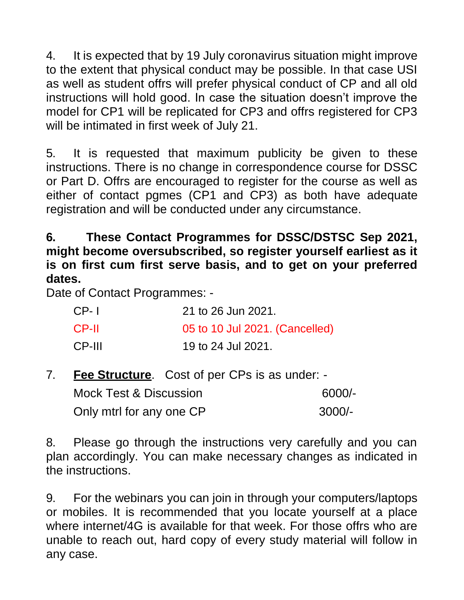4. It is expected that by 19 July coronavirus situation might improve to the extent that physical conduct may be possible. In that case USI as well as student offrs will prefer physical conduct of CP and all old instructions will hold good. In case the situation doesn't improve the model for CP1 will be replicated for CP3 and offrs registered for CP3 will be intimated in first week of July 21.

5. It is requested that maximum publicity be given to these instructions. There is no change in correspondence course for DSSC or Part D. Offrs are encouraged to register for the course as well as either of contact pgmes (CP1 and CP3) as both have adequate registration and will be conducted under any circumstance.

## **6. These Contact Programmes for DSSC/DSTSC Sep 2021, might become oversubscribed, so register yourself earliest as it is on first cum first serve basis, and to get on your preferred dates.**

Date of Contact Programmes: -

| $CP-1$ | 21 to 26 Jun 2021.             |
|--------|--------------------------------|
| CP-II  | 05 to 10 Jul 2021. (Cancelled) |
| CP-III | 19 to 24 Jul 2021.             |

7. **Fee Structure**. Cost of per CPs is as under: -

| <b>Mock Test &amp; Discussion</b> | 6000/-   |
|-----------------------------------|----------|
| Only mtrl for any one CP          | $3000/-$ |

8. Please go through the instructions very carefully and you can plan accordingly. You can make necessary changes as indicated in the instructions.

9. For the webinars you can join in through your computers/laptops or mobiles. It is recommended that you locate yourself at a place where internet/4G is available for that week. For those offrs who are unable to reach out, hard copy of every study material will follow in any case.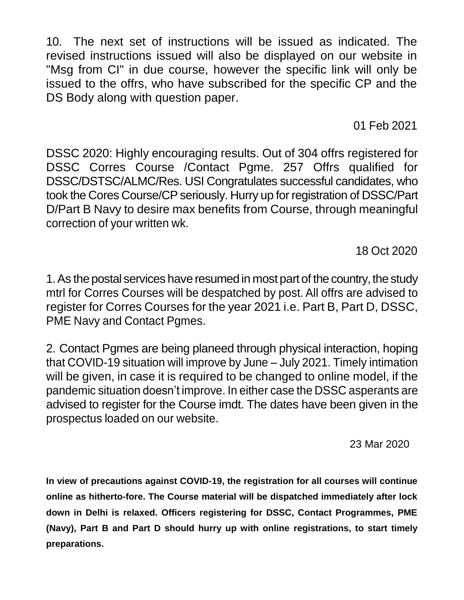10. The next set of instructions will be issued as indicated. The revised instructions issued will also be displayed on our website in "Msg from CI" in due course, however the specific link will only be issued to the offrs, who have subscribed for the specific CP and the DS Body along with question paper.

01 Feb 2021

DSSC 2020: Highly encouraging results. Out of 304 offrs registered for DSSC Corres Course /Contact Pgme. 257 Offrs qualified for DSSC/DSTSC/ALMC/Res. USI Congratulates successful candidates, who took the Cores Course/CP seriously. Hurry up for registration of DSSC/Part D/Part B Navy to desire max benefits from Course, through meaningful correction of your written wk.

18 Oct 2020

1. As the postal services have resumed in most part of the country, the study mtrl for Corres Courses will be despatched by post. All offrs are advised to register for Corres Courses for the year 2021 i.e. Part B, Part D, DSSC, PME Navy and Contact Pgmes.

2. Contact Pgmes are being planeed through physical interaction, hoping that COVID-19 situation will improve by June – July 2021. Timely intimation will be given, in case it is required to be changed to online model, if the pandemic situation doesn't improve. In either case the DSSC asperants are advised to register for the Course imdt. The dates have been given in the prospectus loaded on our website.

23 Mar 2020

**In view of precautions against COVID-19, the registration for all courses will continue online as hitherto-fore. The Course material will be dispatched immediately after lock down in Delhi is relaxed. Officers registering for DSSC, Contact Programmes, PME (Navy), Part B and Part D should hurry up with online registrations, to start timely preparations.**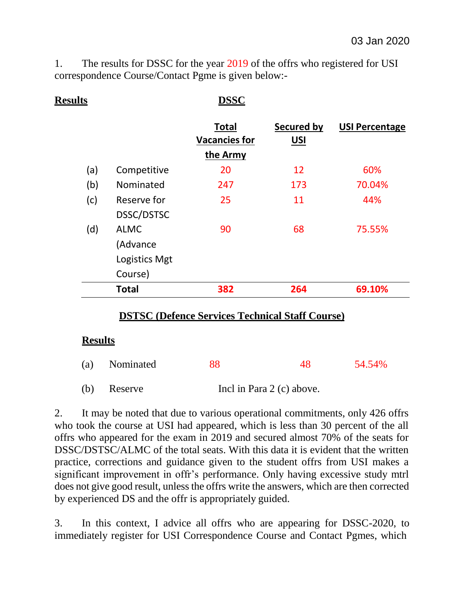1. The results for DSSC for the year 2019 of the offrs who registered for USI correspondence Course/Contact Pgme is given below:-

| <b>Results</b> |               | <b>DSSC</b>                          |                                 |                       |
|----------------|---------------|--------------------------------------|---------------------------------|-----------------------|
|                |               | <b>Total</b><br><b>Vacancies for</b> | <b>Secured by</b><br><u>USI</u> | <b>USI Percentage</b> |
|                |               | the Army                             |                                 |                       |
| (a)            | Competitive   | 20                                   | 12                              | 60%                   |
| (b)            | Nominated     | 247                                  | 173                             | 70.04%                |
| (c)            | Reserve for   | 25                                   | 11                              | 44%                   |
|                | DSSC/DSTSC    |                                      |                                 |                       |
| (d)            | <b>ALMC</b>   | 90                                   | 68                              | 75.55%                |
|                | (Advance      |                                      |                                 |                       |
|                | Logistics Mgt |                                      |                                 |                       |
|                | Course)       |                                      |                                 |                       |
|                | <b>Total</b>  | 382                                  | 264                             | 69.10%                |

## **DSTSC (Defence Services Technical Staff Course)**

### **Results**

| (a) Nominated | 88 | 54.54% |
|---------------|----|--------|
|               |    |        |

(b) Reserve Incl in Para 2 (c) above.

2. It may be noted that due to various operational commitments, only 426 offrs who took the course at USI had appeared, which is less than 30 percent of the all offrs who appeared for the exam in 2019 and secured almost 70% of the seats for DSSC/DSTSC/ALMC of the total seats. With this data it is evident that the written practice, corrections and guidance given to the student offrs from USI makes a significant improvement in offr's performance. Only having excessive study mtrl does not give good result, unless the offrs write the answers, which are then corrected by experienced DS and the offr is appropriately guided.

3. In this context, I advice all offrs who are appearing for DSSC-2020, to immediately register for USI Correspondence Course and Contact Pgmes, which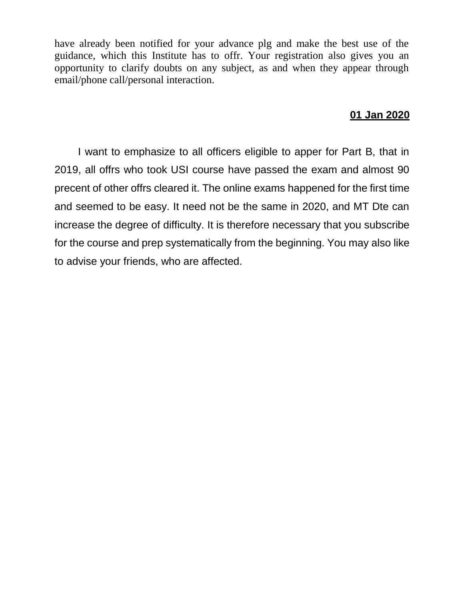have already been notified for your advance plg and make the best use of the guidance, which this Institute has to offr. Your registration also gives you an opportunity to clarify doubts on any subject, as and when they appear through email/phone call/personal interaction.

## **01 Jan 2020**

I want to emphasize to all officers eligible to apper for Part B, that in 2019, all offrs who took USI course have passed the exam and almost 90 precent of other offrs cleared it. The online exams happened for the first time and seemed to be easy. It need not be the same in 2020, and MT Dte can increase the degree of difficulty. It is therefore necessary that you subscribe for the course and prep systematically from the beginning. You may also like to advise your friends, who are affected.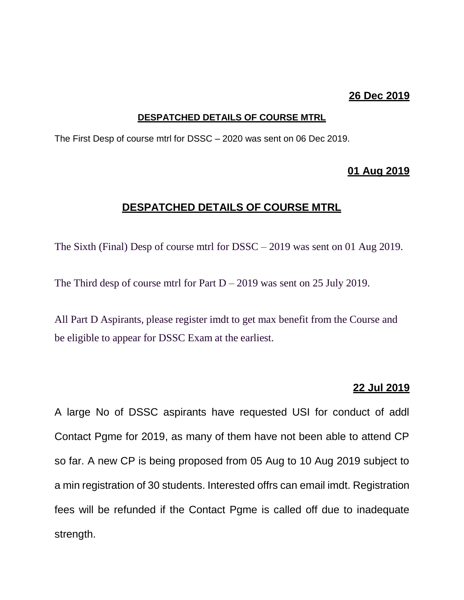### **26 Dec 2019**

#### **DESPATCHED DETAILS OF COURSE MTRL**

The First Desp of course mtrl for DSSC – 2020 was sent on 06 Dec 2019.

#### **01 Aug 2019**

### **DESPATCHED DETAILS OF COURSE MTRL**

The Sixth (Final) Desp of course mtrl for DSSC – 2019 was sent on 01 Aug 2019.

The Third desp of course mtrl for Part  $D - 2019$  was sent on 25 July 2019.

All Part D Aspirants, please register imdt to get max benefit from the Course and be eligible to appear for DSSC Exam at the earliest.

#### **22 Jul 2019**

A large No of DSSC aspirants have requested USI for conduct of addl Contact Pgme for 2019, as many of them have not been able to attend CP so far. A new CP is being proposed from 05 Aug to 10 Aug 2019 subject to a min registration of 30 students. Interested offrs can email imdt. Registration fees will be refunded if the Contact Pgme is called off due to inadequate strength.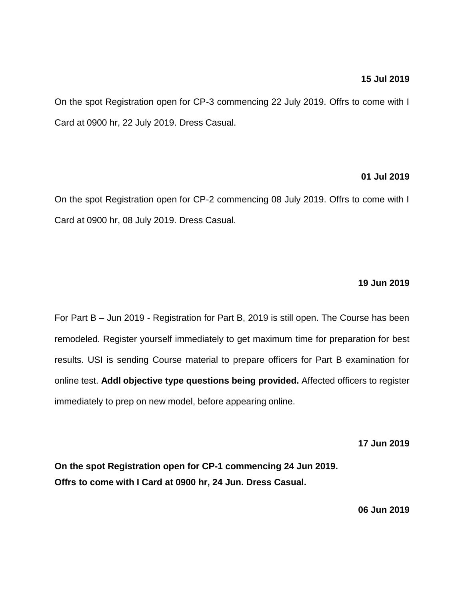#### **15 Jul 2019**

On the spot Registration open for CP-3 commencing 22 July 2019. Offrs to come with I Card at 0900 hr, 22 July 2019. Dress Casual.

#### **01 Jul 2019**

On the spot Registration open for CP-2 commencing 08 July 2019. Offrs to come with I Card at 0900 hr, 08 July 2019. Dress Casual.

#### **19 Jun 2019**

For Part B – Jun 2019 - Registration for Part B, 2019 is still open. The Course has been remodeled. Register yourself immediately to get maximum time for preparation for best results. USI is sending Course material to prepare officers for Part B examination for online test. **Addl objective type questions being provided.** Affected officers to register immediately to prep on new model, before appearing online.

**17 Jun 2019**

**On the spot Registration open for CP-1 commencing 24 Jun 2019. Offrs to come with I Card at 0900 hr, 24 Jun. Dress Casual.**

**06 Jun 2019**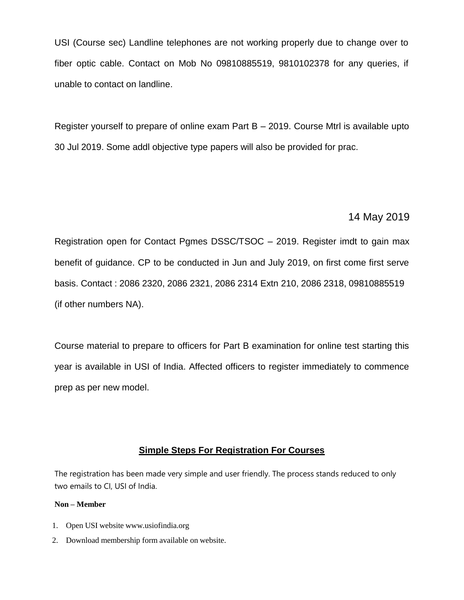USI (Course sec) Landline telephones are not working properly due to change over to fiber optic cable. Contact on Mob No 09810885519, 9810102378 for any queries, if unable to contact on landline.

Register yourself to prepare of online exam Part B – 2019. Course Mtrl is available upto 30 Jul 2019. Some addl objective type papers will also be provided for prac.

#### 14 May 2019

Registration open for Contact Pgmes DSSC/TSOC – 2019. Register imdt to gain max benefit of guidance. CP to be conducted in Jun and July 2019, on first come first serve basis. Contact : 2086 2320, 2086 2321, 2086 2314 Extn 210, 2086 2318, 09810885519 (if other numbers NA).

Course material to prepare to officers for Part B examination for online test starting this year is available in USI of India. Affected officers to register immediately to commence prep as per new model.

#### **Simple Steps For Registration For Courses**

The registration has been made very simple and user friendly. The process stands reduced to only two emails to CI, USI of India.

#### **Non – Member**

- 1. Open USI website [www.usiofindia.org](http://www.usiofindia.org/)
- 2. Download membership form available on website.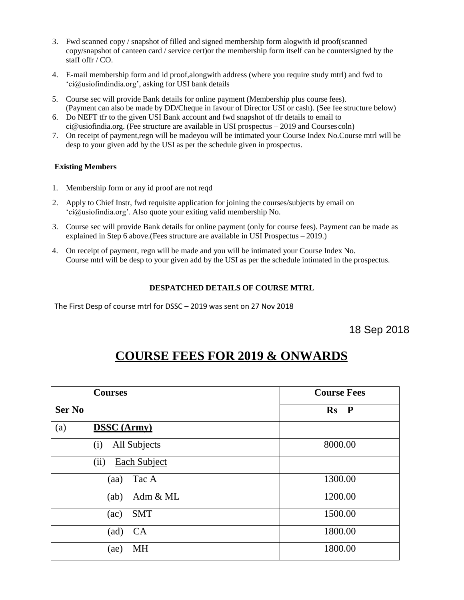- 3. Fwd scanned copy / snapshot of filled and signed membership form alogwith id proof(scanned copy/snapshot of canteen card / service cert)or the membership form itself can be countersigned by the staff offr / CO.
- 4. E-mail membership form and id proof,alongwith address (where you require study mtrl) and fwd to ['ci@usiofindindia.org',](mailto:ci@usiofindindia.org) asking for USI bank details
- 5. Course sec will provide Bank details for online payment (Membership plus course fees). (Payment can also be made by DD/Cheque in favour of Director USI or cash). (See fee structure below)
- 6. Do NEFT tfr to the given USI Bank account and fwd snapshot of tfr details to email to [ci@usiofindia.org. \(](mailto:ci@usiofindia.org)Fee structure are available in USI prospectus – 2019 and Courses coln)
- 7. On receipt of payment,regn will be madeyou will be intimated your Course Index No.Course mtrl will be desp to your given add by the USI as per the schedule given in prospectus.

#### **Existing Members**

- 1. Membership form or any id proof are not reqd
- 2. Apply to Chief Instr, fwd requisite application for joining the courses/subjects by email on ['ci@usiofindia.org'.](mailto:ci@usiofindia.org) Also quote your exiting valid membership No.
- 3. Course sec will provide Bank details for online payment (only for course fees). Payment can be made as explained in Step 6 above.(Fees structure are available in USI Prospectus – 2019.)
- 4. On receipt of payment, regn will be made and you will be intimated your Course Index No. Course mtrl will be desp to your given add by the USI as per the schedule intimated in the prospectus.

#### **DESPATCHED DETAILS OF COURSE MTRL**

The First Desp of course mtrl for DSSC – 2019 was sent on 27 Nov 2018

18 Sep 2018

## **COURSE FEES FOR 2019 & ONWARDS**

|               | <b>Courses</b>              | <b>Course Fees</b>            |
|---------------|-----------------------------|-------------------------------|
| <b>Ser No</b> |                             | $\mathbf{Rs}$<br>$\mathbf{P}$ |
| (a)           | <b>DSSC</b> (Army)          |                               |
|               | All Subjects<br>(i)         | 8000.00                       |
|               | <b>Each Subject</b><br>(ii) |                               |
|               | Tac A<br>(aa)               | 1300.00                       |
|               | Adm & ML<br>(ab)            | 1200.00                       |
|               | <b>SMT</b><br>(ac)          | 1500.00                       |
|               | <b>CA</b><br>(ad)           | 1800.00                       |
|               | MH<br>(ae)                  | 1800.00                       |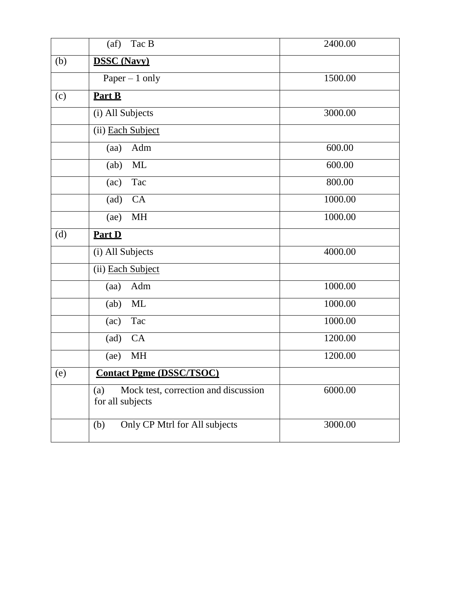|     | Tac B<br>(af)                                                   | 2400.00 |
|-----|-----------------------------------------------------------------|---------|
| (b) | <b>DSSC</b> (Navy)                                              |         |
|     | Paper $-1$ only                                                 | 1500.00 |
| (c) | Part B                                                          |         |
|     | (i) All Subjects                                                | 3000.00 |
|     | (ii) Each Subject                                               |         |
|     | Adm<br>(aa)                                                     | 600.00  |
|     | ML<br>(ab)                                                      | 600.00  |
|     | Tac<br>(ac)                                                     | 800.00  |
|     | (ad)<br>CA                                                      | 1000.00 |
|     | <b>MH</b><br>(ae)                                               | 1000.00 |
| (d) | Part D                                                          |         |
|     | (i) All Subjects                                                | 4000.00 |
|     | (ii) Each Subject                                               |         |
|     | Adm<br>(aa)                                                     | 1000.00 |
|     | ML<br>(ab)                                                      | 1000.00 |
|     | Tac<br>(ac)                                                     | 1000.00 |
|     | CA<br>(ad)                                                      | 1200.00 |
|     | MH<br>(ae)                                                      | 1200.00 |
| (e) | <b>Contact Pgme (DSSC/TSOC)</b>                                 |         |
|     | Mock test, correction and discussion<br>(a)<br>for all subjects | 6000.00 |
|     | Only CP Mtrl for All subjects<br>(b)                            | 3000.00 |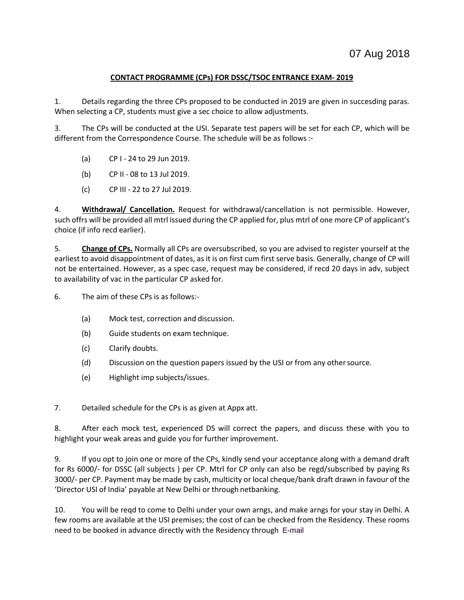#### **CONTACT PROGRAMME (CPs) FOR DSSC/TSOC ENTRANCE EXAM- 2019**

1. Details regarding the three CPs proposed to be conducted in 2019 are given in succesding paras. When selecting a CP, students must give a sec choice to allow adjustments.

3. The CPs will be conducted at the USI. Separate test papers will be set for each CP, which will be different from the Correspondence Course. The schedule will be as follows:-

- (a) CP I 24 to 29 Jun 2019.
- (b) CP II 08 to 13 Jul 2019.
- (c) CP III 22 to 27 Jul 2019.

4. **Withdrawal/ Cancellation.** Request for withdrawal/cancellation is not permissible. However, such offrs will be provided all mtrl issued during the CP applied for, plus mtrl of one more CP of applicant's choice (if info recd earlier).

5. **Change of CPs.** Normally all CPs are oversubscribed, so you are advised to register yourself at the earliest to avoid disappointment of dates, as it is on first cum first serve basis. Generally, change of CP will not be entertained. However, as a spec case, request may be considered, if recd 20 days in adv, subject to availability of vac in the particular CP asked for.

6. The aim of these CPs is as follows:-

- (a) Mock test, correction and discussion.
- (b) Guide students on exam technique.
- (c) Clarify doubts.
- (d) Discussion on the question papers issued by the USI or from any othersource.
- (e) Highlight imp subjects/issues.

7. Detailed schedule for the CPs is as given at Appx att.

8. After each mock test, experienced DS will correct the papers, and discuss these with you to highlight your weak areas and guide you for further improvement.

9. If you opt to join one or more of the CPs, kindly send your acceptance along with a demand draft for Rs 6000/- for DSSC (all subjects ) per CP. Mtrl for CP only can also be regd/subscribed by paying Rs 3000/- per CP. Payment may be made by cash, multicity or local cheque/bank draft drawn in favour of the 'Director USI of India' payable at New Delhi or through netbanking.

10. You will be reqd to come to Delhi under your own arngs, and make arngs for your stay in Delhi. A few rooms are available at the USI premises; the cost of can be checked from the Residency. These rooms need to be booked in advance directly with the Residency through E-mail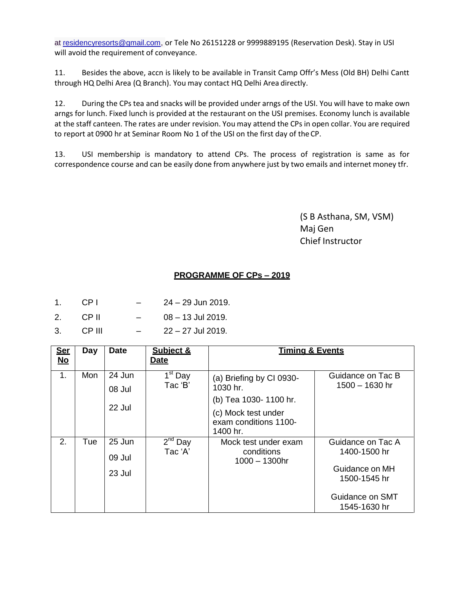at [residencyresorts@gmail.com,](mailto:residencyresorts@gmail.com) or Tele No 26151228 or 9999889195 (Reservation Desk). Stay in USI will avoid the requirement of conveyance.

11. Besides the above, accn is likely to be available in Transit Camp Offr's Mess (Old BH) Delhi Cantt through HQ Delhi Area (Q Branch). You may contact HQ Delhi Area directly.

12. During the CPs tea and snacks will be provided under arngs of the USI. You will have to make own arngs for lunch. Fixed lunch is provided at the restaurant on the USI premises. Economy lunch is available at the staff canteen. The rates are under revision. You may attend the CPs in open collar. You are required to report at 0900 hr at Seminar Room No 1 of the USI on the first day of the CP.

13. USI membership is mandatory to attend CPs. The process of registration is same as for correspondence course and can be easily done from anywhere just by two emails and internet money tfr.

> (S B Asthana, SM, VSM) Maj Gen Chief Instructor

#### **PROGRAMME OF CPs – 2019**

- 1. CP I 24 29 Jun 2019.
- 2. CP II 08 13 Jul 2019.
- 3. CP III 22 27 Jul 2019.

| <b>Ser</b><br>$\underline{\mathsf{No}}$ | Day | <b>Date</b>                | Subject &<br><u>Date</u>       | <b>Timing &amp; Events</b>                                                                                                |                                                                                                        |  |  |  |
|-----------------------------------------|-----|----------------------------|--------------------------------|---------------------------------------------------------------------------------------------------------------------------|--------------------------------------------------------------------------------------------------------|--|--|--|
| 1.                                      | Mon | 24 Jun<br>08 Jul<br>22 Jul | 1 <sup>st</sup> Day<br>Tac 'B' | (a) Briefing by CI 0930-<br>1030 hr.<br>(b) Tea 1030-1100 hr.<br>(c) Mock test under<br>exam conditions 1100-<br>1400 hr. | Guidance on Tac B<br>$1500 - 1630$ hr                                                                  |  |  |  |
| 2.                                      | Tue | 25 Jun<br>09 Jul<br>23 Jul | $2^{nd}$ Day<br>Tac 'A'        | Mock test under exam<br>conditions<br>$1000 - 1300$ hr                                                                    | Guidance on Tac A<br>1400-1500 hr<br>Guidance on MH<br>1500-1545 hr<br>Guidance on SMT<br>1545-1630 hr |  |  |  |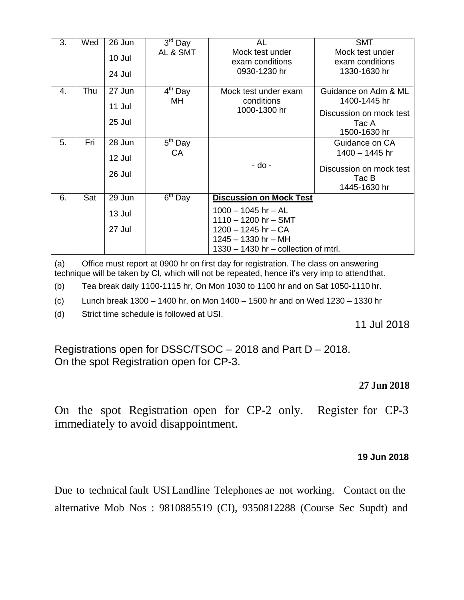| 3. | Wed | 26 Jun | $3rd$ Day | AL                                     | <b>SMT</b>              |
|----|-----|--------|-----------|----------------------------------------|-------------------------|
|    |     | 10 Jul | AL & SMT  | Mock test under                        | Mock test under         |
|    |     |        |           | exam conditions                        | exam conditions         |
|    |     | 24 Jul |           | 0930-1230 hr                           | 1330-1630 hr            |
|    |     |        |           |                                        |                         |
| 4. | Thu | 27 Jun | $4th$ Day | Mock test under exam                   | Guidance on Adm & ML    |
|    |     | 11 Jul | MH.       | conditions                             | 1400-1445 hr            |
|    |     |        |           | 1000-1300 hr                           | Discussion on mock test |
|    |     | 25 Jul |           |                                        | Tac A                   |
|    |     |        |           |                                        | 1500-1630 hr            |
| 5. | Fri | 28 Jun | $5th$ Day |                                        | Guidance on CA          |
|    |     |        | СA        |                                        | 1400 - 1445 hr          |
|    |     | 12 Jul |           | - do -                                 |                         |
|    |     | 26 Jul |           |                                        | Discussion on mock test |
|    |     |        |           |                                        | Tac B                   |
|    |     |        |           |                                        | 1445-1630 hr            |
| 6. | Sat | 29 Jun | $6th$ Day | <b>Discussion on Mock Test</b>         |                         |
|    |     | 13 Jul |           | $1000 - 1045$ hr - AL                  |                         |
|    |     |        |           | $1110 - 1200$ hr - SMT                 |                         |
|    |     | 27 Jul |           | $1200 - 1245$ hr - CA                  |                         |
|    |     |        |           | $1245 - 1330$ hr - MH                  |                         |
|    |     |        |           | $1330 - 1430$ hr – collection of mtrl. |                         |

(a) Office must report at 0900 hr on first day for registration. The class on answering technique will be taken by CI, which will not be repeated, hence it's very imp to attendthat.

(b) Tea break daily 1100-1115 hr, On Mon 1030 to 1100 hr and on Sat 1050-1110 hr.

(c) Lunch break 1300 – 1400 hr, on Mon 1400 – 1500 hr and on Wed 1230 – 1330 hr

(d) Strict time schedule is followed at USI.

11 Jul 2018

Registrations open for DSSC/TSOC – 2018 and Part D – 2018. On the spot Registration open for CP-3.

### **27 Jun 2018**

On the spot Registration open for CP-2 only. Register for CP-3 immediately to avoid disappointment.

#### **19 Jun 2018**

Due to technical fault USI Landline Telephones ae not working. Contact on the alternative Mob Nos : 9810885519 (CI), 9350812288 (Course Sec Supdt) and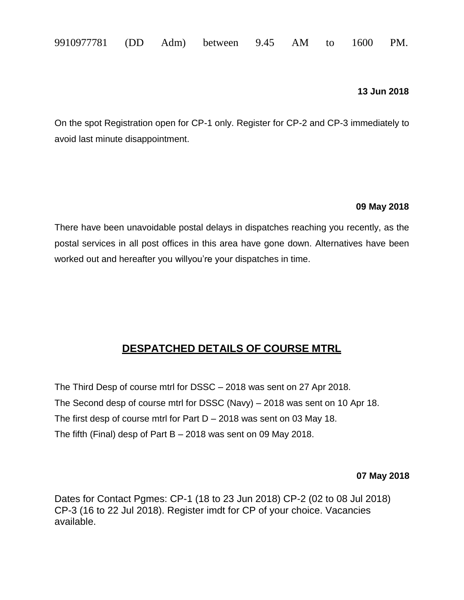|  | 9910977781 (DD Adm) between 9.45 AM to 1600 PM. |  |  |  |  |  |  |  |  |
|--|-------------------------------------------------|--|--|--|--|--|--|--|--|
|--|-------------------------------------------------|--|--|--|--|--|--|--|--|

#### **13 Jun 2018**

On the spot Registration open for CP-1 only. Register for CP-2 and CP-3 immediately to avoid last minute disappointment.

#### **09 May 2018**

There have been unavoidable postal delays in dispatches reaching you recently, as the postal services in all post offices in this area have gone down. Alternatives have been worked out and hereafter you willyou're your dispatches in time.

## **DESPATCHED DETAILS OF COURSE MTRL**

The Third Desp of course mtrl for DSSC – 2018 was sent on 27 Apr 2018. The Second desp of course mtrl for DSSC (Navy) – 2018 was sent on 10 Apr 18. The first desp of course mtrl for Part  $D - 2018$  was sent on 03 May 18. The fifth (Final) desp of Part B – 2018 was sent on 09 May 2018.

#### **07 May 2018**

Dates for Contact Pgmes: CP-1 (18 to 23 Jun 2018) CP-2 (02 to 08 Jul 2018) CP-3 (16 to 22 Jul 2018). Register imdt for CP of your choice. Vacancies available.